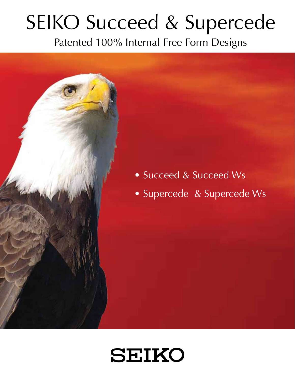# SEIKO Succeed & Supercede

Patented 100% Internal Free Form Designs



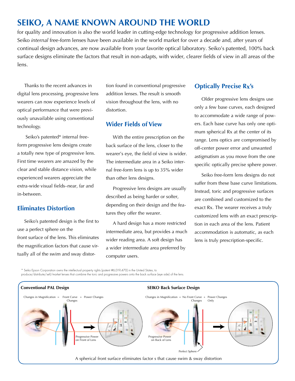## **SEIKO, A NAME KNOWN AROUND THE WORLD**

for quality and innovation is also the world leader in cutting-edge technology for progressive addition lenses. Seiko *internal* free-form lenses have been available in the world market for over a decade and, after years of continual design advances, are now available from your favorite optical laboratory. Seiko's patented, 100% back surface designs eliminate the factors that result in non-adapts, with wider, clearer fields of view in all areas of the lens.

Thanks to the recent advances in digital lens processing, progressive lens wearers can now experience levels of optical performance that were previously unavailable using conventional technology.

 Seiko's patented\* internal freeform progressive lens designs create a totally new type of progressive lens. First time wearers are amazed by the clear and stable distance vision, while experienced wearers appreciate the extra-wide visual fields–near, far and in-between.

#### **Eliminates Distortion**

Seiko's patented design is the first to use a perfect sphere on the front surface of the lens. This eliminates the magnification factors that cause virtually all of the swim and sway distor-

tion found in conventional progressive addition lenses. The result is smooth vision throughout the lens, with no distortion.

#### **Wider Fields of View**

With the entire prescription on the back surface of the lens, closer to the wearer's eye, the field of view is wider. The intermediate area in a Seiko internal free-form lens is up to 35% wider than other lens designs.

Progressive lens designs are usually described as being harder or softer, depending on their design and the features they offer the wearer.

A hard design has a more restricted intermediate area, but provides a much wider reading area. A soft design has a wider intermediate area preferred by computer users.

#### **Optically Precise Rx's**

Older progressive lens designs use only a few base curves, each designed to accommodate a wide range of powers. Each base curve has only one optimum spherical Rx at the center of its range. Lens optics are compromised by off-center power error and unwanted astigmatism as you move from the one specific optically precise sphere power.

Seiko free-form lens designs do not suffer from these base curve limitations. Instead, toric and progressive surfaces are combined and customized to the exact Rx. The wearer receives a truly customized lens with an exact prescription in each area of the lens. Patient accommodation is automatic, as each lens is truly prescription-specific.

\* Seiko Epson Corporation owns the intellectual property rights (patent #6,019,470) in the United States, to

produce/distribute/sell/market lenses that combine the toric and progressive powers onto the back surface (eye side) of the lens.

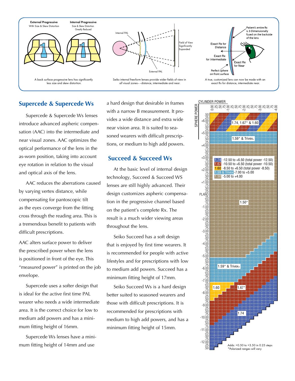

#### **Supercede & Supercede Ws**

Supercede & Supercede Ws lenses introduce advanced aspheric compensation (AAC) into the intermediate and near visual zones. AAC optimizes the optical performance of the lens in the as-worn position, taking into account eye rotation in relation to the visual and optical axis of the lens.

AAC reduces the aberrations caused by varying vertex distance, while compensating for pantoscopic tilt as the eyes converge from the fitting cross through the reading area. This is a tremendous benefit to patients with difficult prescriptions.

AAC alters surface power to deliver the prescribed power when the lens is positioned in front of the eye. This "measured power" is printed on the job envelope.

Supercede uses a softer design that is ideal for the active first time PAL wearer who needs a wide intermediate area. It is the correct choice for low to medium add powers and has a minimum fitting height of 16mm.

Supercede Ws lenses have a minimum fitting height of 14mm and use

a hard design that desirable in frames with a narrow B measurement. It provides a wide distance and extra wide near vision area. It is suited to seasoned wearers with difficult prescriptions, or medium to high add powers.

#### **Succeed & Succeed Ws**

At the basic level of internal design technology, Succeed & Succeed WS lenses are still highly advanced. Their design customizes aspheric compensation in the progressive channel based on the patient's complete Rx. The result is a much wider viewing areas throughout the lens.

Seiko Succeed has a soft design that is enjoyed by first time wearers. It is recommended for people with active lifestyles and for prescriptions with low to medium add powers. Succeed has a minimum fitting height of 17mm.

Seiko Succeed Ws is a hard design better suited to seasoned wearers and those with difficult prescriptions. It is recommended for prescriptions with medium to high add powers, and has a minimum fitting height of 15mm.